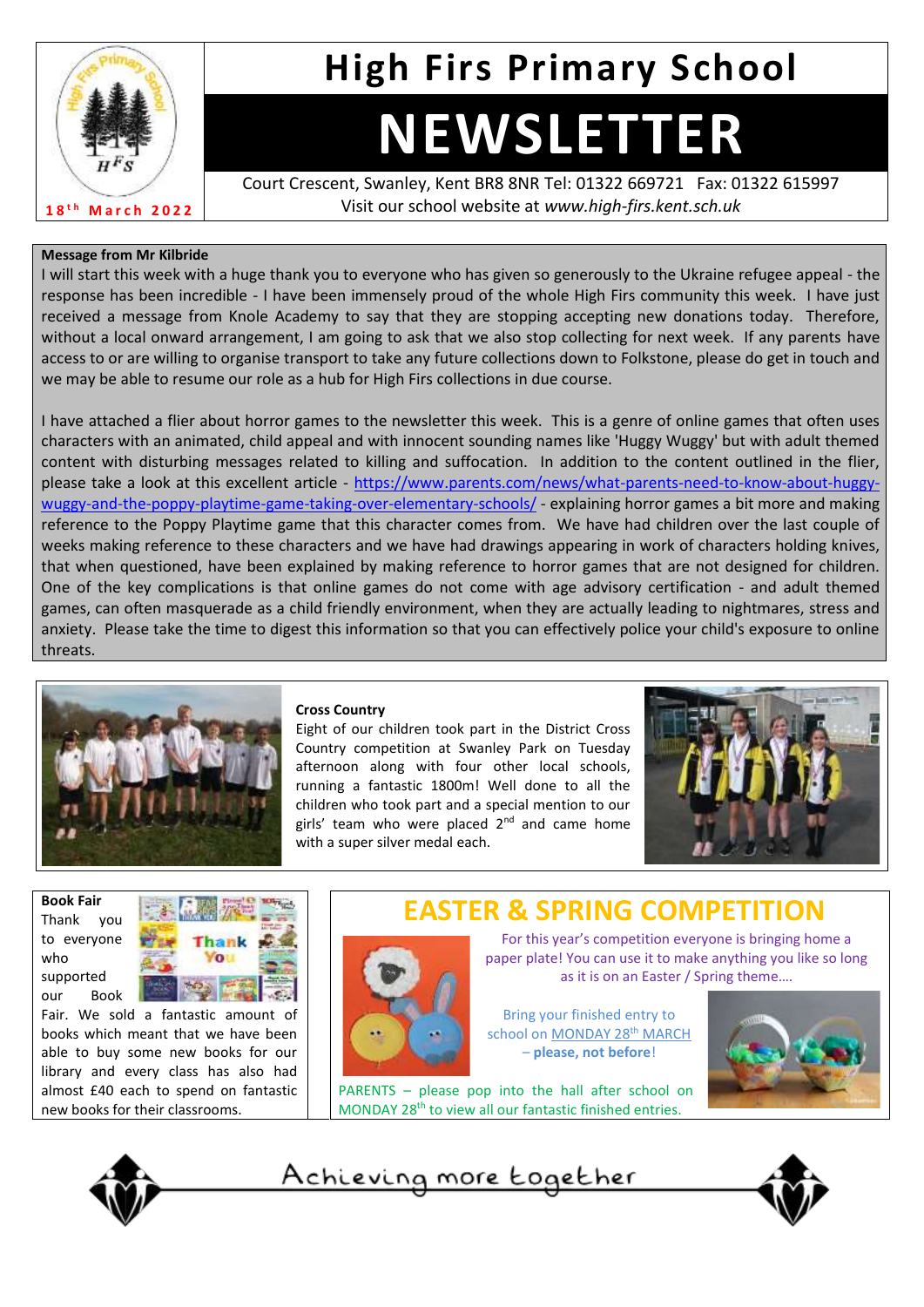

# **High Firs Primary School**

# **NEWSLETTER**

Court Crescent, Swanley, Kent BR8 8NR Tel: 01322 669721 Fax: 01322 615997 Visit our school website at *www.high-firs.kent.sch.uk*

### **Message from Mr Kilbride**

I will start this week with a huge thank you to everyone who has given so generously to the Ukraine refugee appeal - the response has been incredible - I have been immensely proud of the whole High Firs community this week. I have just received a message from Knole Academy to say that they are stopping accepting new donations today. Therefore, without a local onward arrangement, I am going to ask that we also stop collecting for next week. If any parents have access to or are willing to organise transport to take any future collections down to Folkstone, please do get in touch and we may be able to resume our role as a hub for High Firs collections in due course.

I have attached a flier about horror games to the newsletter this week. This is a genre of online games that often uses characters with an animated, child appeal and with innocent sounding names like 'Huggy Wuggy' but with adult themed content with disturbing messages related to killing and suffocation. In addition to the content outlined in the flier, please take a look at this excellent article - [https://www.parents.com/news/what-parents-need-to-know-about-huggy](https://www.parents.com/news/what-parents-need-to-know-about-huggy-wuggy-and-the-poppy-playtime-game-taking-over-elementary-schools/)[wuggy-and-the-poppy-playtime-game-taking-over-elementary-schools/](https://www.parents.com/news/what-parents-need-to-know-about-huggy-wuggy-and-the-poppy-playtime-game-taking-over-elementary-schools/) - explaining horror games a bit more and making reference to the Poppy Playtime game that this character comes from. We have had children over the last couple of weeks making reference to these characters and we have had drawings appearing in work of characters holding knives, that when questioned, have been explained by making reference to horror games that are not designed for children. One of the key complications is that online games do not come with age advisory certification - and adult themed games, can often masquerade as a child friendly environment, when they are actually leading to nightmares, stress and anxiety. Please take the time to digest this information so that you can effectively police your child's exposure to online threats.



### **Cross Country**

Eight of our children took part in the District Cross Country competition at Swanley Park on Tuesday afternoon along with four other local schools, running a fantastic 1800m! Well done to all the children who took part and a special mention to our girls' team who were placed  $2<sup>nd</sup>$  and came home with a super silver medal each.



**Book Fair**  Thank you to everyone who supported our Book



Fair. We sold a fantastic amount of books which meant that we have been able to buy some new books for our library and every class has also had almost £40 each to spend on fantastic new books for their classrooms.





For this year's competition everyone is bringing home a paper plate! You can use it to make anything you like so long as it is on an Easter / Spring theme….

Bring your finished entry to school on MONDAY 28<sup>th</sup> MARCH – **please, not before**!



PARENTS – please pop into the hall after school on MONDAY 28th to view all our fantastic finished entries.

Achieving more together



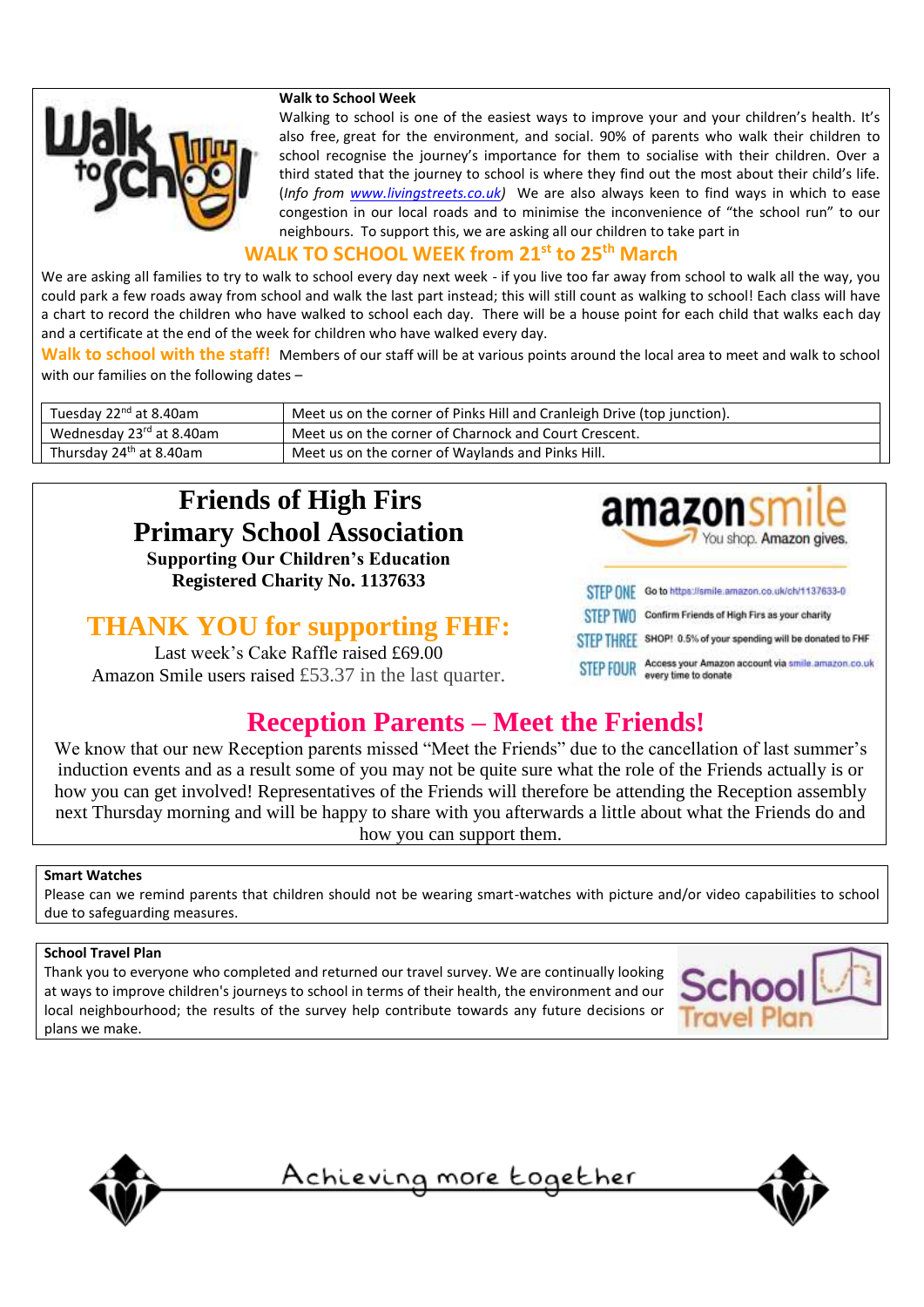

### **Walk to School Week**

Walking to school is one of the easiest ways to improve your and your children's health. It's also free, great for the environment, and social. 90% of parents who walk their children to school recognise the journey's importance for them to socialise with their children. Over a third stated that the journey to school is where they find out the most about their child's life. (*Info from [www.livingstreets.co.uk\)](http://www.livingstreets.co.uk/)* We are also always keen to find ways in which to ease congestion in our local roads and to minimise the inconvenience of "the school run" to our neighbours. To support this, we are asking all our children to take part in

### **WALK TO SCHOOL WEEK from 21st to 25th March**

We are asking all families to try to walk to school every day next week - if you live too far away from school to walk all the way, you could park a few roads away from school and walk the last part instead; this will still count as walking to school! Each class will have a chart to record the children who have walked to school each day. There will be a house point for each child that walks each day and a certificate at the end of the week for children who have walked every day.

**Walk to school with the staff!** Members of our staff will be at various points around the local area to meet and walk to school with our families on the following dates –

| Tuesday 22 <sup>nd</sup> at 8.40am  | Meet us on the corner of Pinks Hill and Cranleigh Drive (top junction). |  |
|-------------------------------------|-------------------------------------------------------------------------|--|
| Wednesday 23rd at 8.40am            | Meet us on the corner of Charnock and Court Crescent.                   |  |
| Thursday 24 <sup>th</sup> at 8.40am | Meet us on the corner of Waylands and Pinks Hill.                       |  |

### **Friends of High Firs Primary School Association**

**Supporting Our Children's Education Registered Charity No. 1137633**

### **THANK YOU for supporting FHF:**

Last week's Cake Raffle raised £69.00 Amazon Smile users raised £53.37 in the last quarter.



STEP FOUR Access your Amazon account via smile.amazon.co.uk<br>

### **Reception Parents – Meet the Friends!**

We know that our new Reception parents missed "Meet the Friends" due to the cancellation of last summer's induction events and as a result some of you may not be quite sure what the role of the Friends actually is or how you can get involved! Representatives of the Friends will therefore be attending the Reception assembly next Thursday morning and will be happy to share with you afterwards a little about what the Friends do and how you can support them.

### **Smart Watches**

Please can we remind parents that children should not be wearing smart-watches with picture and/or video capabilities to school due to safeguarding measures.

### **School Travel Plan**

Thank you to everyone who completed and returned our travel survey. We are continually looking at ways to improve children's journeys to school in terms of their health, the environment and our local neighbourhood; the results of the survey help contribute towards any future decisions or plans we make.





<u>Achieving more together</u>

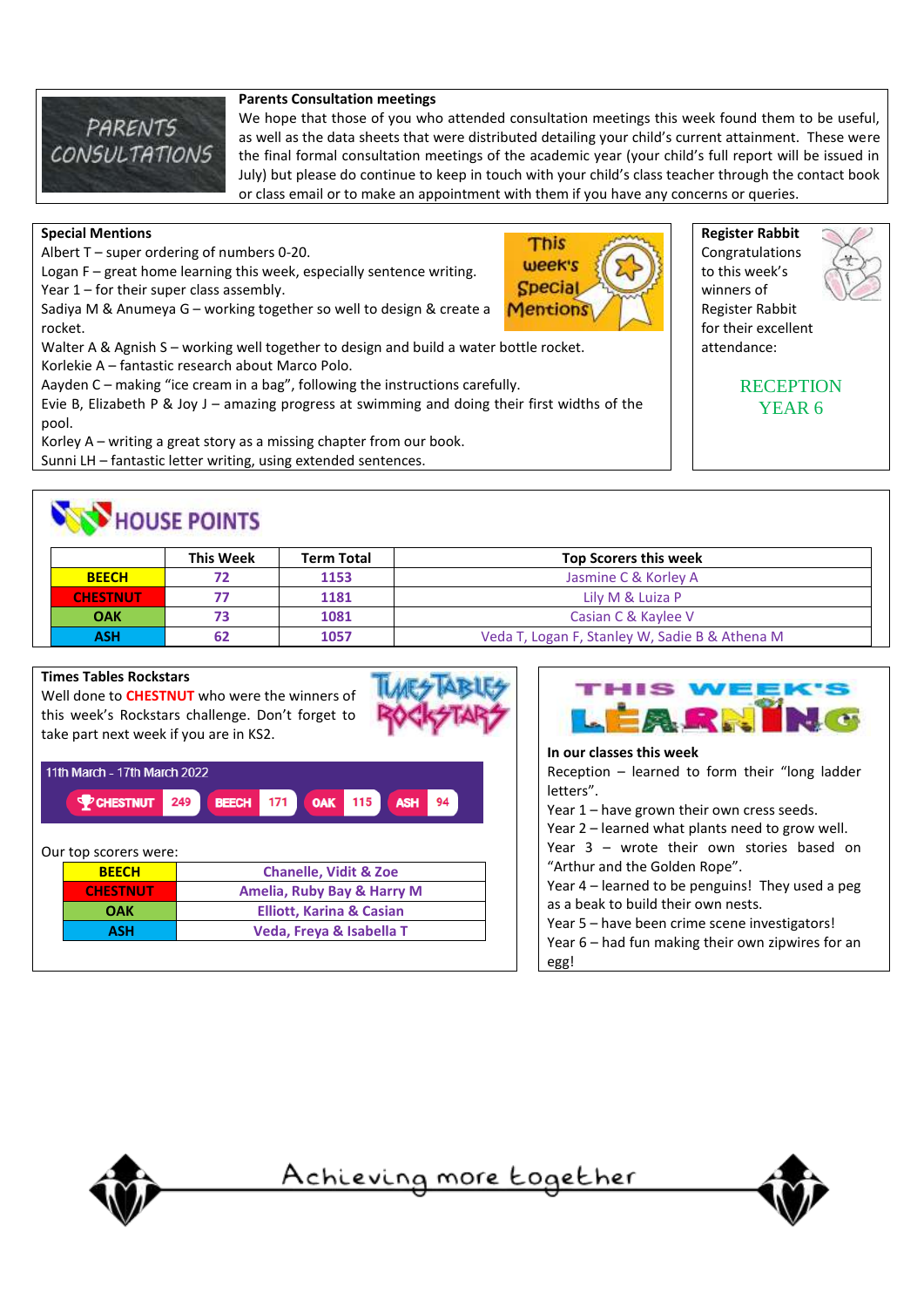

### **Parents Consultation meetings**

We hope that those of you who attended consultation meetings this week found them to be useful, as well as the data sheets that were distributed detailing your child's current attainment. These were the final formal consultation meetings of the academic year (your child's full report will be issued in July) but please do continue to keep in touch with your child's class teacher through the contact book or class email or to make an appointment with them if you have any concerns or queries.

> This week's **Special Mentions**

### **Special Mentions**

Albert T – super ordering of numbers 0-20.

Logan F – great home learning this week, especially sentence writing.

Year  $1$  – for their super class assembly.

Sadiya M & Anumeya G – working together so well to design & create a rocket.

Walter A & Agnish S – working well together to design and build a water bottle rocket. Korlekie A – fantastic research about Marco Polo.

Aayden C – making "ice cream in a bag", following the instructions carefully.

Evie B, Elizabeth P & Joy J – amazing progress at swimming and doing their first widths of the pool.

Korley A – writing a great story as a missing chapter from our book.

Sunni LH – fantastic letter writing, using extended sentences.

## HOUSE POINTS

|                 | <b>This Week</b> | <b>Term Total</b> | <b>Top Scorers this week</b>                   |
|-----------------|------------------|-------------------|------------------------------------------------|
| <b>BEECH</b>    |                  | 1153              | Jasmine C & Korley A                           |
| <b>CHESTNUT</b> |                  | 1181              | Lily M & Luiza P                               |
| <b>OAK</b>      |                  | 1081              | Casian C & Kaylee V                            |
| ASH             |                  | 1057              | Veda T, Logan F, Stanley W, Sadie B & Athena M |

### **Times Tables Rockstars**

Well done to **CHESTNUT** who were the winners of this week's Rockstars challenge. Don't forget to take part next week if you are in KS2.

| 11th March - 17th March 2022 |                       |                                                                     |  |  |  |
|------------------------------|-----------------------|---------------------------------------------------------------------|--|--|--|
|                              | <b>PCHESTNUT</b>      | 249<br>171<br>115<br><b>BEECH</b><br><b>OAK</b><br><b>ASH</b><br>94 |  |  |  |
|                              | Our top scorers were: |                                                                     |  |  |  |
|                              | <b>BEECH</b>          | <b>Chanelle, Vidit &amp; Zoe</b>                                    |  |  |  |
|                              | <b>CHESTNUT</b>       | Amelia, Ruby Bay & Harry M                                          |  |  |  |
|                              | OAK                   | <b>Elliott, Karina &amp; Casian</b>                                 |  |  |  |
|                              | ASH                   | Veda, Freya & Isabella T                                            |  |  |  |



### **In our classes this week** Reception – learned to form their "long ladder letters". Year 1 – have grown their own cress seeds. Year 2 – learned what plants need to grow well. Year 3 – wrote their own stories based on "Arthur and the Golden Rope". Year 4 – learned to be penguins! They used a peg as a beak to build their own nests. Year 5 – have been crime scene investigators! Year 6 – had fun making their own zipwires for an

<u>Achieving more together</u>

egg!





**RECEPTION** YEAR 6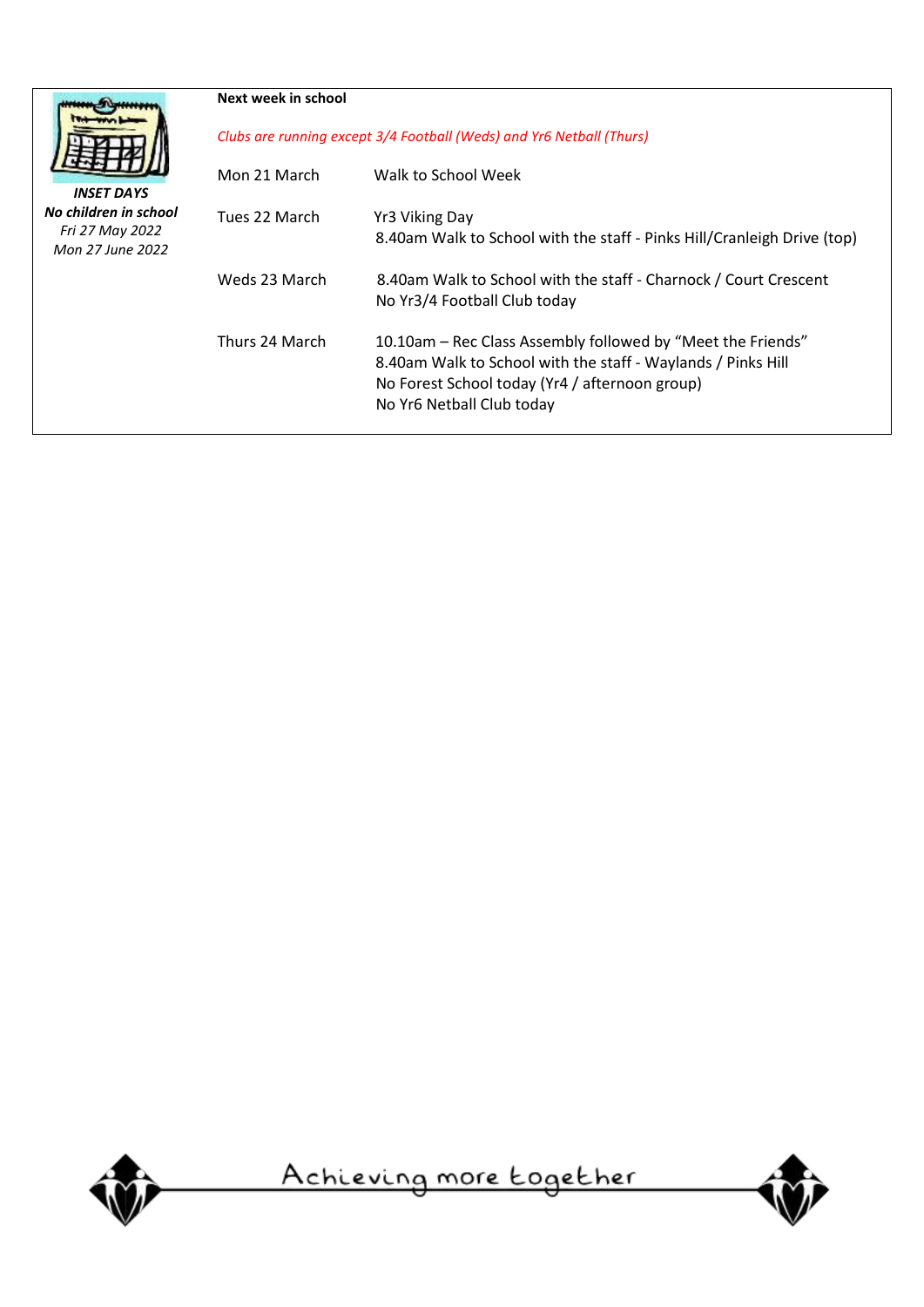|                                     | Next week in school                                                  |                                                                                                                                                                                                            |  |  |
|-------------------------------------|----------------------------------------------------------------------|------------------------------------------------------------------------------------------------------------------------------------------------------------------------------------------------------------|--|--|
|                                     | Clubs are running except 3/4 Football (Weds) and Yr6 Netball (Thurs) |                                                                                                                                                                                                            |  |  |
| <b>INSET DAYS</b>                   | Mon 21 March                                                         | Walk to School Week                                                                                                                                                                                        |  |  |
| No children in school               | Tues 22 March                                                        | Yr3 Viking Day                                                                                                                                                                                             |  |  |
| Fri 27 May 2022<br>Mon 27 June 2022 |                                                                      | 8.40am Walk to School with the staff - Pinks Hill/Cranleigh Drive (top)                                                                                                                                    |  |  |
|                                     | Weds 23 March                                                        | 8.40am Walk to School with the staff - Charnock / Court Crescent<br>No Yr3/4 Football Club today                                                                                                           |  |  |
|                                     | Thurs 24 March                                                       | 10.10am – Rec Class Assembly followed by "Meet the Friends"<br>8.40am Walk to School with the staff - Waylands / Pinks Hill<br>No Forest School today (Yr4 / afternoon group)<br>No Yr6 Netball Club today |  |  |